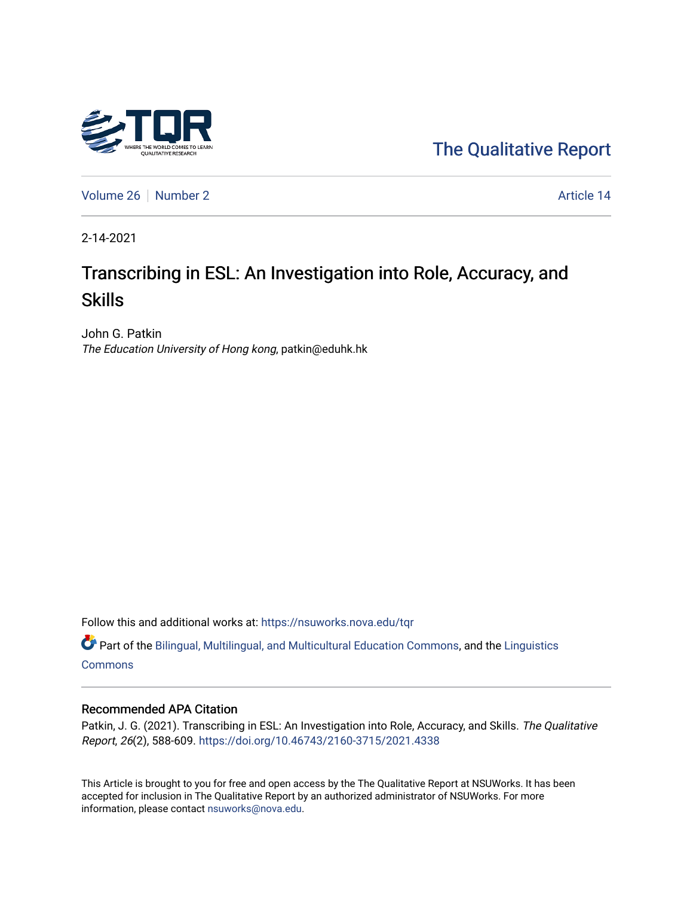

[The Qualitative Report](https://nsuworks.nova.edu/tqr) 

[Volume 26](https://nsuworks.nova.edu/tqr/vol26) [Number 2](https://nsuworks.nova.edu/tqr/vol26/iss2) Article 14

2-14-2021

# Transcribing in ESL: An Investigation into Role, Accuracy, and Skills

John G. Patkin The Education University of Hong kong, patkin@eduhk.hk

Follow this and additional works at: [https://nsuworks.nova.edu/tqr](https://nsuworks.nova.edu/tqr?utm_source=nsuworks.nova.edu%2Ftqr%2Fvol26%2Fiss2%2F14&utm_medium=PDF&utm_campaign=PDFCoverPages) 

Part of the [Bilingual, Multilingual, and Multicultural Education Commons,](http://network.bepress.com/hgg/discipline/785?utm_source=nsuworks.nova.edu%2Ftqr%2Fvol26%2Fiss2%2F14&utm_medium=PDF&utm_campaign=PDFCoverPages) and the [Linguistics](http://network.bepress.com/hgg/discipline/371?utm_source=nsuworks.nova.edu%2Ftqr%2Fvol26%2Fiss2%2F14&utm_medium=PDF&utm_campaign=PDFCoverPages)  **[Commons](http://network.bepress.com/hgg/discipline/371?utm_source=nsuworks.nova.edu%2Ftqr%2Fvol26%2Fiss2%2F14&utm_medium=PDF&utm_campaign=PDFCoverPages)** 

### Recommended APA Citation

Patkin, J. G. (2021). Transcribing in ESL: An Investigation into Role, Accuracy, and Skills. The Qualitative Report, 26(2), 588-609. <https://doi.org/10.46743/2160-3715/2021.4338>

This Article is brought to you for free and open access by the The Qualitative Report at NSUWorks. It has been accepted for inclusion in The Qualitative Report by an authorized administrator of NSUWorks. For more information, please contact [nsuworks@nova.edu.](mailto:nsuworks@nova.edu)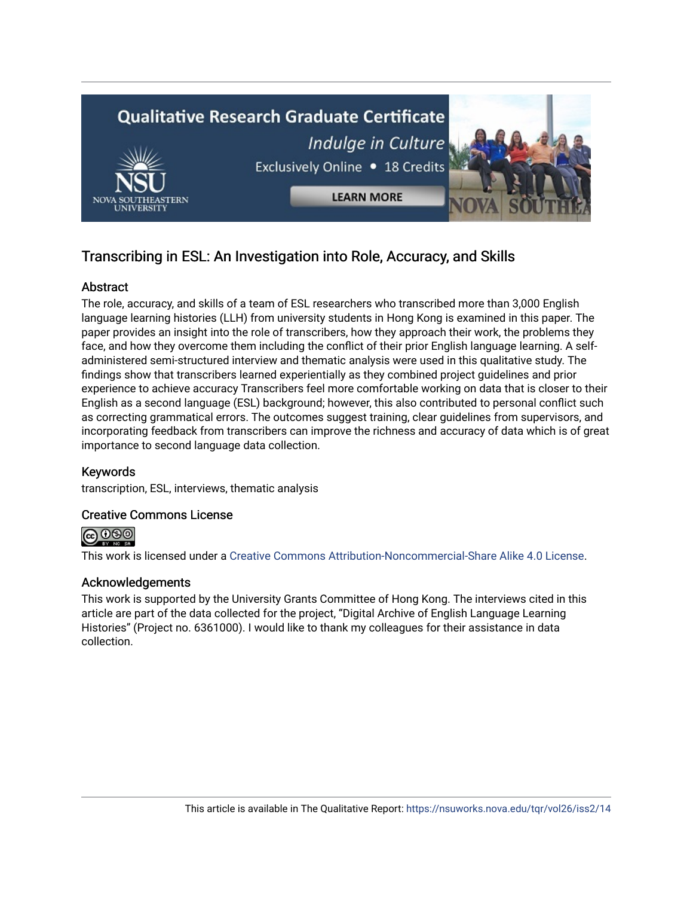

# Transcribing in ESL: An Investigation into Role, Accuracy, and Skills

## **Abstract**

The role, accuracy, and skills of a team of ESL researchers who transcribed more than 3,000 English language learning histories (LLH) from university students in Hong Kong is examined in this paper. The paper provides an insight into the role of transcribers, how they approach their work, the problems they face, and how they overcome them including the conflict of their prior English language learning. A selfadministered semi-structured interview and thematic analysis were used in this qualitative study. The findings show that transcribers learned experientially as they combined project guidelines and prior experience to achieve accuracy Transcribers feel more comfortable working on data that is closer to their English as a second language (ESL) background; however, this also contributed to personal conflict such as correcting grammatical errors. The outcomes suggest training, clear guidelines from supervisors, and incorporating feedback from transcribers can improve the richness and accuracy of data which is of great importance to second language data collection.

## Keywords

transcription, ESL, interviews, thematic analysis

## Creative Commons License



This work is licensed under a [Creative Commons Attribution-Noncommercial-Share Alike 4.0 License](https://creativecommons.org/licenses/by-nc-sa/4.0/).

## Acknowledgements

This work is supported by the University Grants Committee of Hong Kong. The interviews cited in this article are part of the data collected for the project, "Digital Archive of English Language Learning Histories" (Project no. 6361000). I would like to thank my colleagues for their assistance in data collection.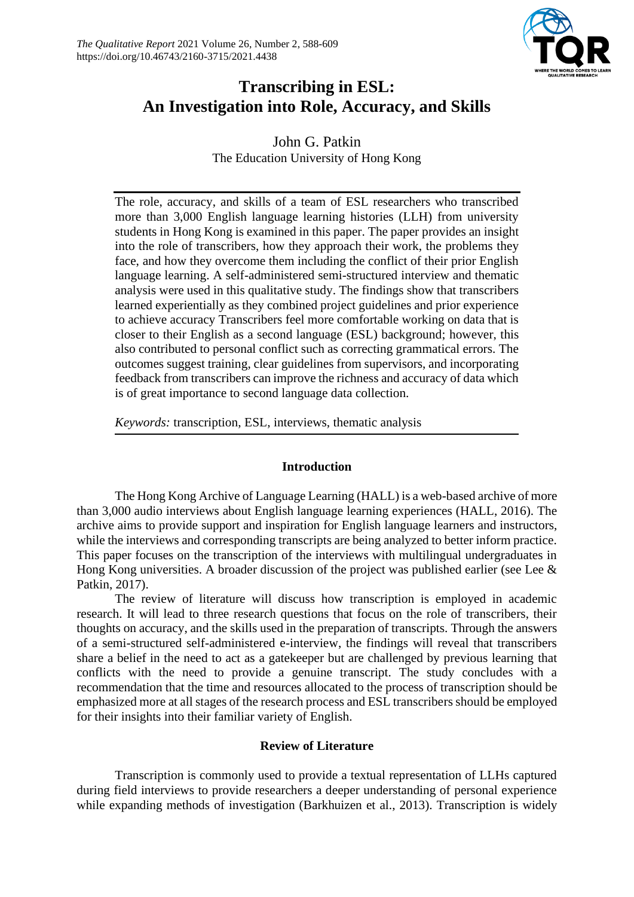

# **Transcribing in ESL: An Investigation into Role, Accuracy, and Skills**

John G. Patkin The Education University of Hong Kong

The role, accuracy, and skills of a team of ESL researchers who transcribed more than 3,000 English language learning histories (LLH) from university students in Hong Kong is examined in this paper. The paper provides an insight into the role of transcribers, how they approach their work, the problems they face, and how they overcome them including the conflict of their prior English language learning. A self-administered semi-structured interview and thematic analysis were used in this qualitative study. The findings show that transcribers learned experientially as they combined project guidelines and prior experience to achieve accuracy Transcribers feel more comfortable working on data that is closer to their English as a second language (ESL) background; however, this also contributed to personal conflict such as correcting grammatical errors. The outcomes suggest training, clear guidelines from supervisors, and incorporating feedback from transcribers can improve the richness and accuracy of data which is of great importance to second language data collection.

*Keywords:* transcription, ESL, interviews, thematic analysis

## **Introduction**

The Hong Kong Archive of Language Learning (HALL) is a web-based archive of more than 3,000 audio interviews about English language learning experiences (HALL, 2016). The archive aims to provide support and inspiration for English language learners and instructors, while the interviews and corresponding transcripts are being analyzed to better inform practice. This paper focuses on the transcription of the interviews with multilingual undergraduates in Hong Kong universities. A broader discussion of the project was published earlier (see Lee & Patkin, 2017).

The review of literature will discuss how transcription is employed in academic research. It will lead to three research questions that focus on the role of transcribers, their thoughts on accuracy, and the skills used in the preparation of transcripts. Through the answers of a semi-structured self-administered e-interview, the findings will reveal that transcribers share a belief in the need to act as a gatekeeper but are challenged by previous learning that conflicts with the need to provide a genuine transcript. The study concludes with a recommendation that the time and resources allocated to the process of transcription should be emphasized more at all stages of the research process and ESL transcribers should be employed for their insights into their familiar variety of English.

## **Review of Literature**

Transcription is commonly used to provide a textual representation of LLHs captured during field interviews to provide researchers a deeper understanding of personal experience while expanding methods of investigation (Barkhuizen et al., 2013). Transcription is widely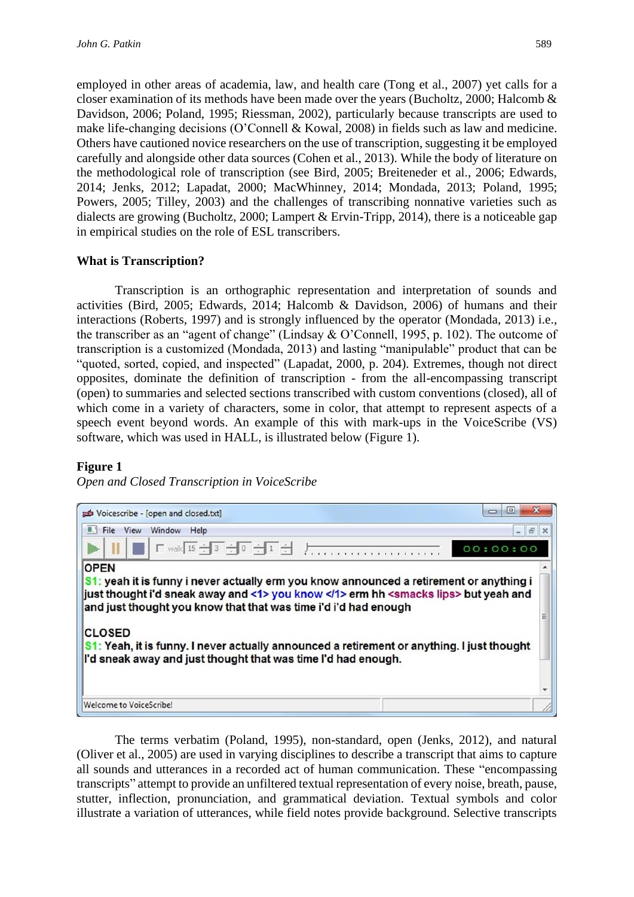employed in other areas of academia, law, and health care (Tong et al., 2007) yet calls for a closer examination of its methods have been made over the years (Bucholtz, 2000; Halcomb & Davidson, 2006; Poland, 1995; Riessman, 2002), particularly because transcripts are used to make life-changing decisions (O'Connell & Kowal, 2008) in fields such as law and medicine. Others have cautioned novice researchers on the use of transcription, suggesting it be employed carefully and alongside other data sources (Cohen et al., 2013). While the body of literature on the methodological role of transcription (see Bird, 2005; Breiteneder et al., 2006; Edwards, 2014; Jenks, 2012; Lapadat, 2000; MacWhinney, 2014; Mondada, 2013; Poland, 1995; Powers, 2005; Tilley, 2003) and the challenges of transcribing nonnative varieties such as dialects are growing (Bucholtz, 2000; Lampert & Ervin-Tripp, 2014), there is a noticeable gap in empirical studies on the role of ESL transcribers.

# **What is Transcription?**

Transcription is an orthographic representation and interpretation of sounds and activities (Bird, 2005; Edwards, 2014; Halcomb & Davidson, 2006) of humans and their interactions (Roberts, 1997) and is strongly influenced by the operator (Mondada, 2013) i.e., the transcriber as an "agent of change" (Lindsay & O'Connell, 1995, p. 102). The outcome of transcription is a customized (Mondada, 2013) and lasting "manipulable" product that can be "quoted, sorted, copied, and inspected" (Lapadat, 2000, p. 204). Extremes, though not direct opposites, dominate the definition of transcription - from the all-encompassing transcript (open) to summaries and selected sections transcribed with custom conventions (closed), all of which come in a variety of characters, some in color, that attempt to represent aspects of a speech event beyond words. An example of this with mark-ups in the VoiceScribe (VS) software, which was used in HALL, is illustrated below (Figure 1).

# **Figure 1**

*Open and Closed Transcription in VoiceScribe*



The terms verbatim (Poland, 1995), non-standard, open (Jenks, 2012), and natural (Oliver et al., 2005) are used in varying disciplines to describe a transcript that aims to capture all sounds and utterances in a recorded act of human communication. These "encompassing transcripts" attempt to provide an unfiltered textual representation of every noise, breath, pause, stutter, inflection, pronunciation, and grammatical deviation. Textual symbols and color illustrate a variation of utterances, while field notes provide background. Selective transcripts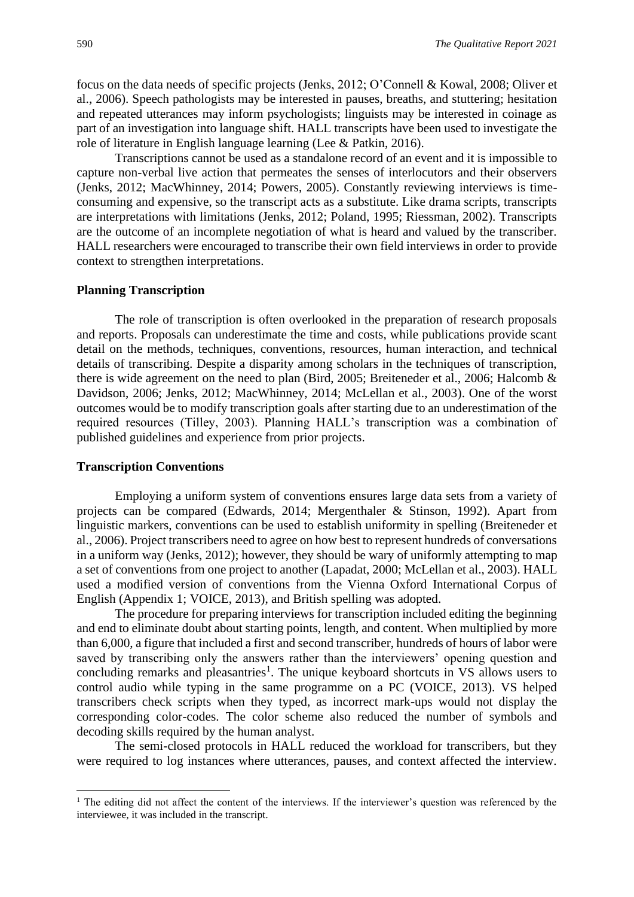focus on the data needs of specific projects (Jenks, 2012; O'Connell & Kowal, 2008; Oliver et al., 2006). Speech pathologists may be interested in pauses, breaths, and stuttering; hesitation and repeated utterances may inform psychologists; linguists may be interested in coinage as part of an investigation into language shift. HALL transcripts have been used to investigate the role of literature in English language learning (Lee & Patkin, 2016).

Transcriptions cannot be used as a standalone record of an event and it is impossible to capture non-verbal live action that permeates the senses of interlocutors and their observers (Jenks, 2012; MacWhinney, 2014; Powers, 2005). Constantly reviewing interviews is timeconsuming and expensive, so the transcript acts as a substitute. Like drama scripts, transcripts are interpretations with limitations (Jenks, 2012; Poland, 1995; Riessman, 2002). Transcripts are the outcome of an incomplete negotiation of what is heard and valued by the transcriber. HALL researchers were encouraged to transcribe their own field interviews in order to provide context to strengthen interpretations.

#### **Planning Transcription**

The role of transcription is often overlooked in the preparation of research proposals and reports. Proposals can underestimate the time and costs, while publications provide scant detail on the methods, techniques, conventions, resources, human interaction, and technical details of transcribing. Despite a disparity among scholars in the techniques of transcription, there is wide agreement on the need to plan (Bird, 2005; Breiteneder et al., 2006; Halcomb & Davidson, 2006; Jenks, 2012; MacWhinney, 2014; McLellan et al., 2003). One of the worst outcomes would be to modify transcription goals after starting due to an underestimation of the required resources (Tilley, 2003). Planning HALL's transcription was a combination of published guidelines and experience from prior projects.

#### **Transcription Conventions**

Employing a uniform system of conventions ensures large data sets from a variety of projects can be compared (Edwards, 2014; Mergenthaler & Stinson, 1992). Apart from linguistic markers, conventions can be used to establish uniformity in spelling (Breiteneder et al., 2006). Project transcribers need to agree on how best to represent hundreds of conversations in a uniform way (Jenks, 2012); however, they should be wary of uniformly attempting to map a set of conventions from one project to another (Lapadat, 2000; McLellan et al., 2003). HALL used a modified version of conventions from the Vienna Oxford International Corpus of English (Appendix 1; VOICE, 2013), and British spelling was adopted.

The procedure for preparing interviews for transcription included editing the beginning and end to eliminate doubt about starting points, length, and content. When multiplied by more than 6,000, a figure that included a first and second transcriber, hundreds of hours of labor were saved by transcribing only the answers rather than the interviewers' opening question and concluding remarks and pleasantries<sup>1</sup>. The unique keyboard shortcuts in VS allows users to control audio while typing in the same programme on a PC (VOICE, 2013). VS helped transcribers check scripts when they typed, as incorrect mark-ups would not display the corresponding color-codes. The color scheme also reduced the number of symbols and decoding skills required by the human analyst.

The semi-closed protocols in HALL reduced the workload for transcribers, but they were required to log instances where utterances, pauses, and context affected the interview.

<sup>&</sup>lt;sup>1</sup> The editing did not affect the content of the interviews. If the interviewer's question was referenced by the interviewee, it was included in the transcript.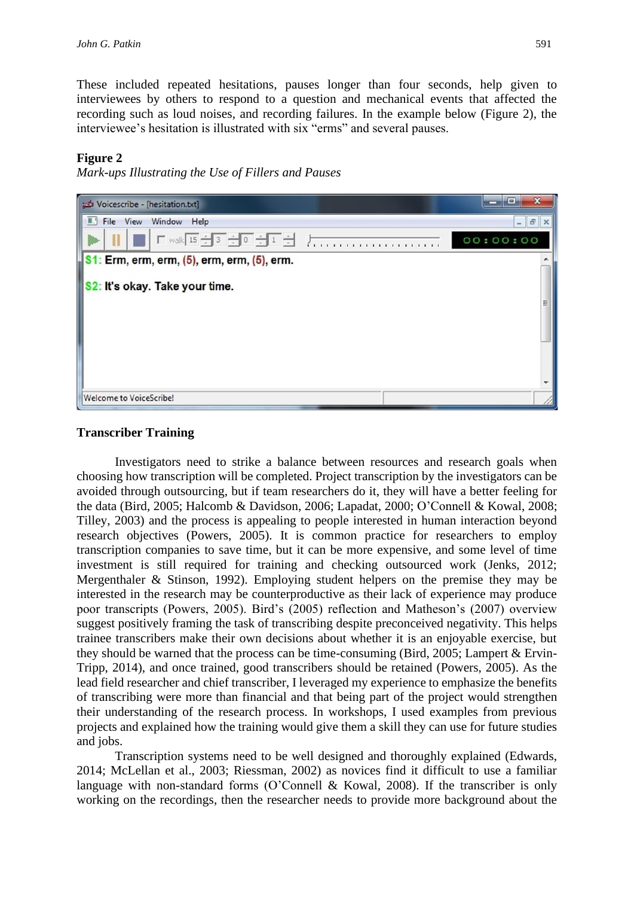These included repeated hesitations, pauses longer than four seconds, help given to interviewees by others to respond to a question and mechanical events that affected the recording such as loud noises, and recording failures. In the example below (Figure 2), the interviewee's hesitation is illustrated with six "erms" and several pauses.

## **Figure 2**

*Mark-ups Illustrating the Use of Fillers and Pauses*



## **Transcriber Training**

Investigators need to strike a balance between resources and research goals when choosing how transcription will be completed. Project transcription by the investigators can be avoided through outsourcing, but if team researchers do it, they will have a better feeling for the data (Bird, 2005; Halcomb & Davidson, 2006; Lapadat, 2000; O'Connell & Kowal, 2008; Tilley, 2003) and the process is appealing to people interested in human interaction beyond research objectives (Powers, 2005). It is common practice for researchers to employ transcription companies to save time, but it can be more expensive, and some level of time investment is still required for training and checking outsourced work (Jenks, 2012; Mergenthaler & Stinson, 1992). Employing student helpers on the premise they may be interested in the research may be counterproductive as their lack of experience may produce poor transcripts (Powers, 2005). Bird's (2005) reflection and Matheson's (2007) overview suggest positively framing the task of transcribing despite preconceived negativity. This helps trainee transcribers make their own decisions about whether it is an enjoyable exercise, but they should be warned that the process can be time-consuming (Bird, 2005; Lampert & Ervin-Tripp, 2014), and once trained, good transcribers should be retained (Powers, 2005). As the lead field researcher and chief transcriber, I leveraged my experience to emphasize the benefits of transcribing were more than financial and that being part of the project would strengthen their understanding of the research process. In workshops, I used examples from previous projects and explained how the training would give them a skill they can use for future studies and jobs.

Transcription systems need to be well designed and thoroughly explained (Edwards, 2014; McLellan et al., 2003; Riessman, 2002) as novices find it difficult to use a familiar language with non-standard forms (O'Connell & Kowal, 2008). If the transcriber is only working on the recordings, then the researcher needs to provide more background about the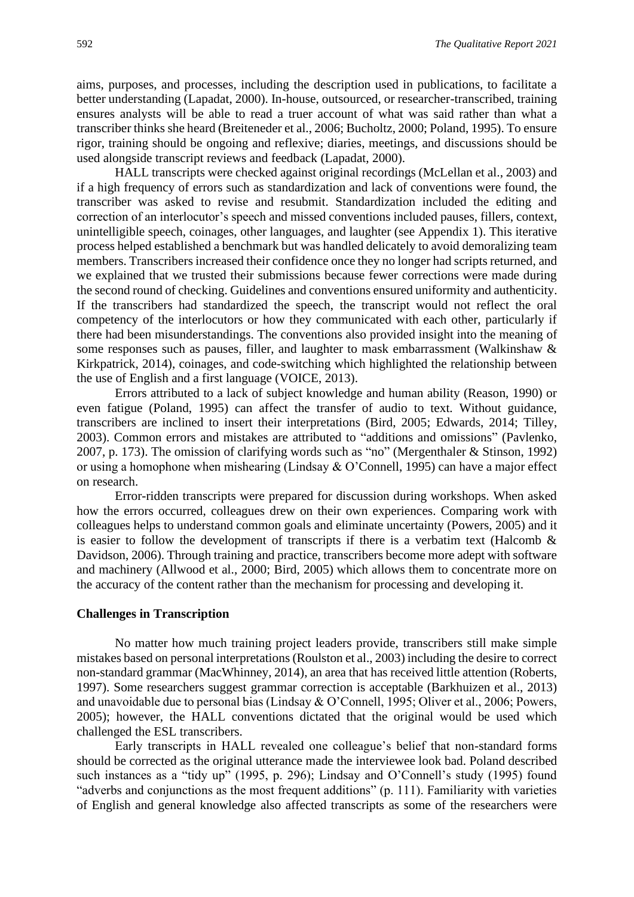aims, purposes, and processes, including the description used in publications, to facilitate a better understanding (Lapadat, 2000). In-house, outsourced, or researcher-transcribed, training ensures analysts will be able to read a truer account of what was said rather than what a transcriber thinks she heard (Breiteneder et al., 2006; Bucholtz, 2000; Poland, 1995). To ensure rigor, training should be ongoing and reflexive; diaries, meetings, and discussions should be used alongside transcript reviews and feedback (Lapadat, 2000).

HALL transcripts were checked against original recordings (McLellan et al., 2003) and if a high frequency of errors such as standardization and lack of conventions were found, the transcriber was asked to revise and resubmit. Standardization included the editing and correction of an interlocutor's speech and missed conventions included pauses, fillers, context, unintelligible speech, coinages, other languages, and laughter (see Appendix 1). This iterative process helped established a benchmark but was handled delicately to avoid demoralizing team members. Transcribers increased their confidence once they no longer had scripts returned, and we explained that we trusted their submissions because fewer corrections were made during the second round of checking. Guidelines and conventions ensured uniformity and authenticity. If the transcribers had standardized the speech, the transcript would not reflect the oral competency of the interlocutors or how they communicated with each other, particularly if there had been misunderstandings. The conventions also provided insight into the meaning of some responses such as pauses, filler, and laughter to mask embarrassment (Walkinshaw & Kirkpatrick, 2014), coinages, and code-switching which highlighted the relationship between the use of English and a first language (VOICE, 2013).

Errors attributed to a lack of subject knowledge and human ability (Reason, 1990) or even fatigue (Poland, 1995) can affect the transfer of audio to text. Without guidance, transcribers are inclined to insert their interpretations (Bird, 2005; Edwards, 2014; Tilley, 2003). Common errors and mistakes are attributed to "additions and omissions" (Pavlenko, 2007, p. 173). The omission of clarifying words such as "no" (Mergenthaler & Stinson, 1992) or using a homophone when mishearing (Lindsay  $& O'$ Connell, 1995) can have a major effect on research.

Error-ridden transcripts were prepared for discussion during workshops. When asked how the errors occurred, colleagues drew on their own experiences. Comparing work with colleagues helps to understand common goals and eliminate uncertainty (Powers, 2005) and it is easier to follow the development of transcripts if there is a verbatim text (Halcomb  $\&$ Davidson, 2006). Through training and practice, transcribers become more adept with software and machinery (Allwood et al., 2000; Bird, 2005) which allows them to concentrate more on the accuracy of the content rather than the mechanism for processing and developing it.

### **Challenges in Transcription**

No matter how much training project leaders provide, transcribers still make simple mistakes based on personal interpretations (Roulston et al., 2003) including the desire to correct non-standard grammar (MacWhinney, 2014), an area that has received little attention (Roberts, 1997). Some researchers suggest grammar correction is acceptable (Barkhuizen et al., 2013) and unavoidable due to personal bias (Lindsay & O'Connell, 1995; Oliver et al., 2006; Powers, 2005); however, the HALL conventions dictated that the original would be used which challenged the ESL transcribers.

Early transcripts in HALL revealed one colleague's belief that non-standard forms should be corrected as the original utterance made the interviewee look bad. Poland described such instances as a "tidy up" (1995, p. 296); Lindsay and O'Connell's study (1995) found "adverbs and conjunctions as the most frequent additions" (p. 111). Familiarity with varieties of English and general knowledge also affected transcripts as some of the researchers were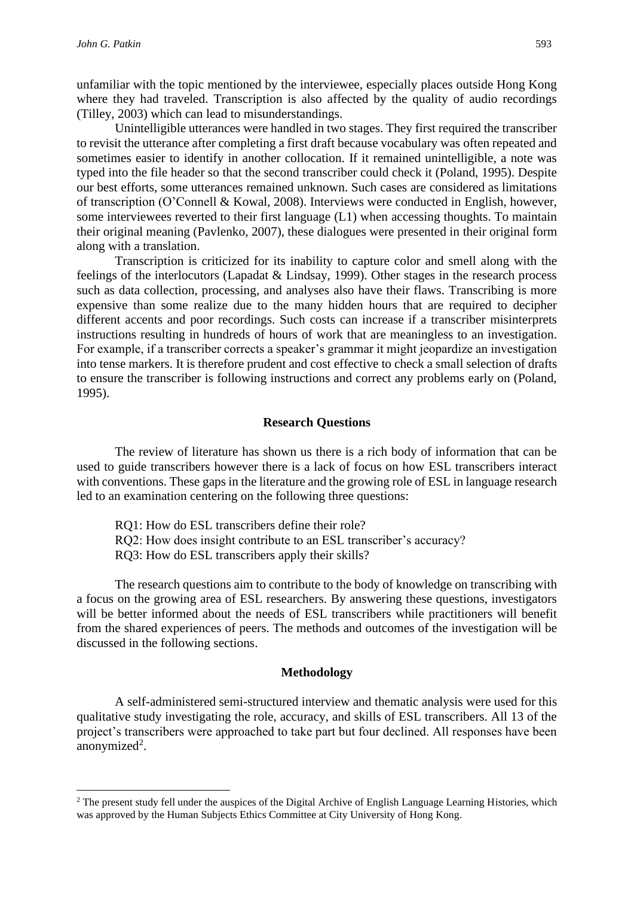unfamiliar with the topic mentioned by the interviewee, especially places outside Hong Kong where they had traveled. Transcription is also affected by the quality of audio recordings (Tilley, 2003) which can lead to misunderstandings.

Unintelligible utterances were handled in two stages. They first required the transcriber to revisit the utterance after completing a first draft because vocabulary was often repeated and sometimes easier to identify in another collocation. If it remained unintelligible, a note was typed into the file header so that the second transcriber could check it (Poland, 1995). Despite our best efforts, some utterances remained unknown. Such cases are considered as limitations of transcription (O'Connell & Kowal, 2008). Interviews were conducted in English, however, some interviewees reverted to their first language (L1) when accessing thoughts. To maintain their original meaning (Pavlenko, 2007), these dialogues were presented in their original form along with a translation.

Transcription is criticized for its inability to capture color and smell along with the feelings of the interlocutors (Lapadat & Lindsay, 1999). Other stages in the research process such as data collection, processing, and analyses also have their flaws. Transcribing is more expensive than some realize due to the many hidden hours that are required to decipher different accents and poor recordings. Such costs can increase if a transcriber misinterprets instructions resulting in hundreds of hours of work that are meaningless to an investigation. For example, if a transcriber corrects a speaker's grammar it might jeopardize an investigation into tense markers. It is therefore prudent and cost effective to check a small selection of drafts to ensure the transcriber is following instructions and correct any problems early on (Poland, 1995).

#### **Research Questions**

The review of literature has shown us there is a rich body of information that can be used to guide transcribers however there is a lack of focus on how ESL transcribers interact with conventions. These gaps in the literature and the growing role of ESL in language research led to an examination centering on the following three questions:

- RQ1: How do ESL transcribers define their role?
- RQ2: How does insight contribute to an ESL transcriber's accuracy?

RQ3: How do ESL transcribers apply their skills?

The research questions aim to contribute to the body of knowledge on transcribing with a focus on the growing area of ESL researchers. By answering these questions, investigators will be better informed about the needs of ESL transcribers while practitioners will benefit from the shared experiences of peers. The methods and outcomes of the investigation will be discussed in the following sections.

#### **Methodology**

A self-administered semi-structured interview and thematic analysis were used for this qualitative study investigating the role, accuracy, and skills of ESL transcribers. All 13 of the project's transcribers were approached to take part but four declined. All responses have been anonymized<sup>2</sup>.

<sup>&</sup>lt;sup>2</sup> The present study fell under the auspices of the Digital Archive of English Language Learning Histories, which was approved by the Human Subjects Ethics Committee at City University of Hong Kong.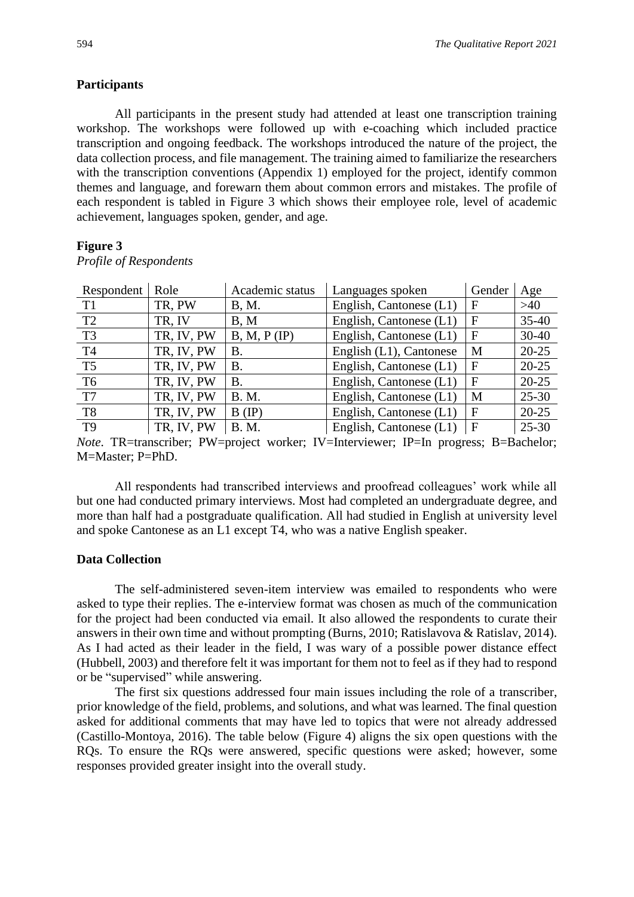#### **Participants**

All participants in the present study had attended at least one transcription training workshop. The workshops were followed up with e-coaching which included practice transcription and ongoing feedback. The workshops introduced the nature of the project, the data collection process, and file management. The training aimed to familiarize the researchers with the transcription conventions (Appendix 1) employed for the project, identify common themes and language, and forewarn them about common errors and mistakes. The profile of each respondent is tabled in Figure 3 which shows their employee role, level of academic achievement, languages spoken, gender, and age.

#### **Figure 3**

| Respondent     | Role       | Academic status | Languages spoken        | Gender       | Age       |
|----------------|------------|-----------------|-------------------------|--------------|-----------|
| T <sub>1</sub> | TR, PW     | <b>B</b> , M.   | English, Cantonese (L1) | $\mathbf{F}$ | >40       |
| T2             | TR, IV     | B, M            | English, Cantonese (L1) | $\mathbf{F}$ | $35-40$   |
| T <sub>3</sub> | TR, IV, PW | $B, M, P$ (IP)  | English, Cantonese (L1) | $\mathbf F$  | $30-40$   |
| T <sub>4</sub> | TR, IV, PW | В.              | English (L1), Cantonese | M            | $20 - 25$ |
| T <sub>5</sub> | TR, IV, PW | Β.              | English, Cantonese (L1) | $\mathbf{F}$ | $20 - 25$ |
| T <sub>6</sub> | TR, IV, PW | <b>B.</b>       | English, Cantonese (L1) | $\mathbf{F}$ | $20 - 25$ |
| T7             | TR, IV, PW | <b>B.</b> M.    | English, Cantonese (L1) | M            | $25 - 30$ |
| T <sub>8</sub> | TR, IV, PW | $B$ (IP)        | English, Cantonese (L1) | $\mathbf{F}$ | $20 - 25$ |
| T <sub>9</sub> | TR, IV, PW | <b>B.</b> M.    | English, Cantonese (L1) | ιF           | $25 - 30$ |

*Profile of Respondents*

*Note*. TR=transcriber; PW=project worker; IV=Interviewer; IP=In progress; B=Bachelor; M=Master; P=PhD.

All respondents had transcribed interviews and proofread colleagues' work while all but one had conducted primary interviews. Most had completed an undergraduate degree, and more than half had a postgraduate qualification. All had studied in English at university level and spoke Cantonese as an L1 except T4, who was a native English speaker.

#### **Data Collection**

The self-administered seven-item interview was emailed to respondents who were asked to type their replies. The e-interview format was chosen as much of the communication for the project had been conducted via email. It also allowed the respondents to curate their answers in their own time and without prompting (Burns, 2010; Ratislavova & Ratislav, 2014). As I had acted as their leader in the field, I was wary of a possible power distance effect (Hubbell, 2003) and therefore felt it was important for them not to feel as if they had to respond or be "supervised" while answering.

The first six questions addressed four main issues including the role of a transcriber, prior knowledge of the field, problems, and solutions, and what was learned. The final question asked for additional comments that may have led to topics that were not already addressed (Castillo-Montoya, 2016). The table below (Figure 4) aligns the six open questions with the RQs. To ensure the RQs were answered, specific questions were asked; however, some responses provided greater insight into the overall study.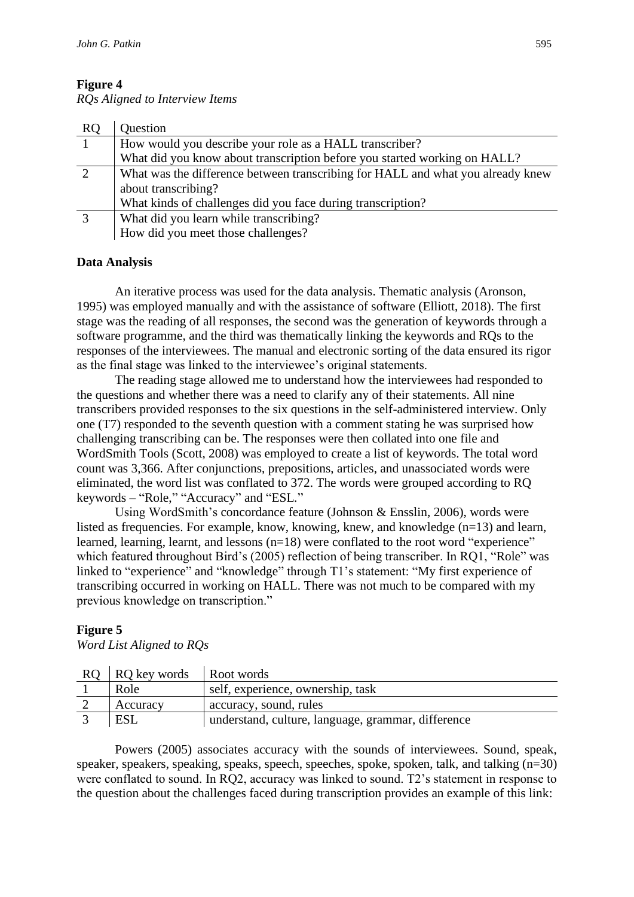**Figure 4**  *RQs Aligned to Interview Items*

| <b>RQ</b>      | Question                                                                        |
|----------------|---------------------------------------------------------------------------------|
|                | How would you describe your role as a HALL transcriber?                         |
|                | What did you know about transcription before you started working on HALL?       |
| 2              | What was the difference between transcribing for HALL and what you already knew |
|                | about transcribing?                                                             |
|                | What kinds of challenges did you face during transcription?                     |
| $\overline{3}$ | What did you learn while transcribing?                                          |
|                | How did you meet those challenges?                                              |

## **Data Analysis**

An iterative process was used for the data analysis. Thematic analysis (Aronson, 1995) was employed manually and with the assistance of software (Elliott, 2018). The first stage was the reading of all responses, the second was the generation of keywords through a software programme, and the third was thematically linking the keywords and RQs to the responses of the interviewees. The manual and electronic sorting of the data ensured its rigor as the final stage was linked to the interviewee's original statements.

The reading stage allowed me to understand how the interviewees had responded to the questions and whether there was a need to clarify any of their statements. All nine transcribers provided responses to the six questions in the self-administered interview. Only one (T7) responded to the seventh question with a comment stating he was surprised how challenging transcribing can be. The responses were then collated into one file and WordSmith Tools (Scott, 2008) was employed to create a list of keywords. The total word count was 3,366. After conjunctions, prepositions, articles, and unassociated words were eliminated, the word list was conflated to 372. The words were grouped according to RQ keywords – "Role," "Accuracy" and "ESL*.*"

Using WordSmith's concordance feature (Johnson & Ensslin, 2006), words were listed as frequencies. For example, know, knowing, knew, and knowledge (n=13) and learn, learned, learning, learnt, and lessons (n=18) were conflated to the root word "experience" which featured throughout Bird's (2005) reflection of being transcriber. In RO1, "Role" was linked to "experience" and "knowledge" through T1's statement: "My first experience of transcribing occurred in working on HALL. There was not much to be compared with my previous knowledge on transcription."

#### **Figure 5**

*Word List Aligned to RQs*

| RQ | RQ key words | Root words                                         |
|----|--------------|----------------------------------------------------|
|    | Role         | self, experience, ownership, task                  |
|    | Accuracy     | accuracy, sound, rules                             |
|    | <b>ESL</b>   | understand, culture, language, grammar, difference |

Powers (2005) associates accuracy with the sounds of interviewees. Sound, speak, speaker, speakers, speaking, speaks, speech, speeches, spoke, spoken, talk, and talking  $(n=30)$ were conflated to sound. In RQ2, accuracy was linked to sound. T2's statement in response to the question about the challenges faced during transcription provides an example of this link: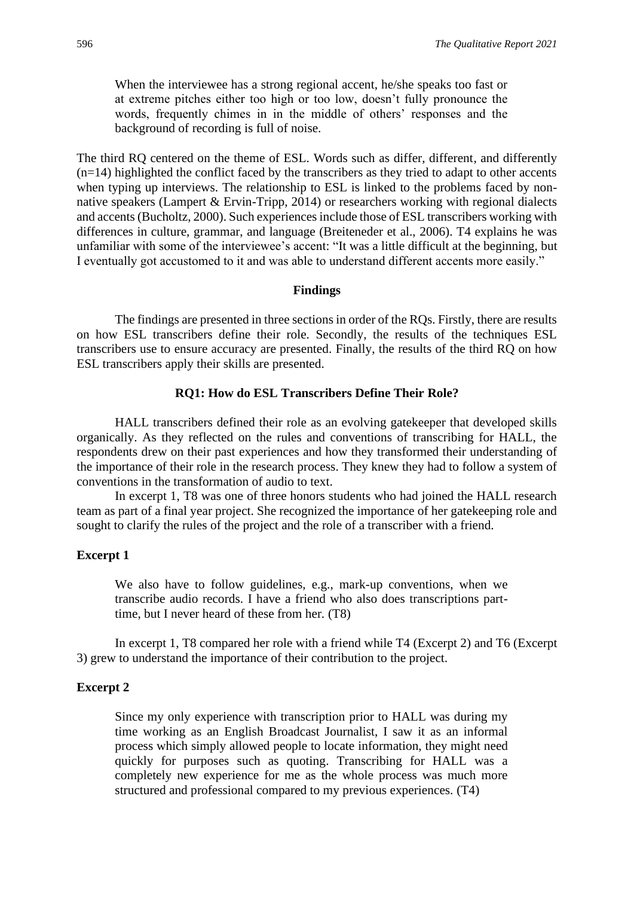When the interviewee has a strong regional accent, he/she speaks too fast or at extreme pitches either too high or too low, doesn't fully pronounce the words, frequently chimes in in the middle of others' responses and the background of recording is full of noise.

The third RQ centered on the theme of ESL. Words such as differ, different, and differently  $(n=14)$  highlighted the conflict faced by the transcribers as they tried to adapt to other accents when typing up interviews. The relationship to ESL is linked to the problems faced by nonnative speakers (Lampert & Ervin-Tripp, 2014) or researchers working with regional dialects and accents (Bucholtz, 2000). Such experiences include those of ESL transcribers working with differences in culture, grammar, and language (Breiteneder et al., 2006). T4 explains he was unfamiliar with some of the interviewee's accent: "It was a little difficult at the beginning, but I eventually got accustomed to it and was able to understand different accents more easily."

#### **Findings**

The findings are presented in three sections in order of the RQs. Firstly, there are results on how ESL transcribers define their role. Secondly, the results of the techniques ESL transcribers use to ensure accuracy are presented. Finally, the results of the third RQ on how ESL transcribers apply their skills are presented.

## **RQ1: How do ESL Transcribers Define Their Role?**

HALL transcribers defined their role as an evolving gatekeeper that developed skills organically. As they reflected on the rules and conventions of transcribing for HALL, the respondents drew on their past experiences and how they transformed their understanding of the importance of their role in the research process. They knew they had to follow a system of conventions in the transformation of audio to text.

In excerpt 1, T8 was one of three honors students who had joined the HALL research team as part of a final year project. She recognized the importance of her gatekeeping role and sought to clarify the rules of the project and the role of a transcriber with a friend.

### **Excerpt 1**

We also have to follow guidelines, e.g., mark-up conventions, when we transcribe audio records. I have a friend who also does transcriptions parttime, but I never heard of these from her*.* (T8)

In excerpt 1, T8 compared her role with a friend while T4 (Excerpt 2) and T6 (Excerpt 3) grew to understand the importance of their contribution to the project.

### **Excerpt 2**

Since my only experience with transcription prior to HALL was during my time working as an English Broadcast Journalist, I saw it as an informal process which simply allowed people to locate information, they might need quickly for purposes such as quoting. Transcribing for HALL was a completely new experience for me as the whole process was much more structured and professional compared to my previous experiences*.* (T4)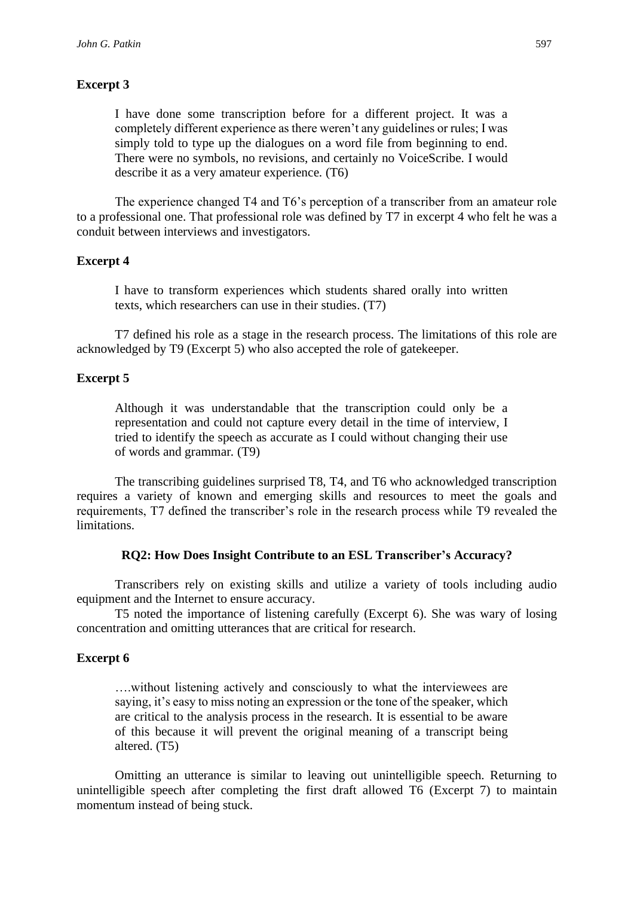## **Excerpt 3**

I have done some transcription before for a different project. It was a completely different experience as there weren't any guidelines or rules; I was simply told to type up the dialogues on a word file from beginning to end. There were no symbols, no revisions, and certainly no VoiceScribe. I would describe it as a very amateur experience*.* (T6)

The experience changed T4 and T6's perception of a transcriber from an amateur role to a professional one. That professional role was defined by T7 in excerpt 4 who felt he was a conduit between interviews and investigators.

### **Excerpt 4**

I have to transform experiences which students shared orally into written texts, which researchers can use in their studies. (T7)

T7 defined his role as a stage in the research process. The limitations of this role are acknowledged by T9 (Excerpt 5) who also accepted the role of gatekeeper.

## **Excerpt 5**

Although it was understandable that the transcription could only be a representation and could not capture every detail in the time of interview, I tried to identify the speech as accurate as I could without changing their use of words and grammar*.* (T9)

The transcribing guidelines surprised T8, T4, and T6 who acknowledged transcription requires a variety of known and emerging skills and resources to meet the goals and requirements, T7 defined the transcriber's role in the research process while T9 revealed the limitations.

## **RQ2: How Does Insight Contribute to an ESL Transcriber's Accuracy?**

Transcribers rely on existing skills and utilize a variety of tools including audio equipment and the Internet to ensure accuracy.

T5 noted the importance of listening carefully (Excerpt 6). She was wary of losing concentration and omitting utterances that are critical for research.

## **Excerpt 6**

….without listening actively and consciously to what the interviewees are saying, it's easy to miss noting an expression or the tone of the speaker, which are critical to the analysis process in the research. It is essential to be aware of this because it will prevent the original meaning of a transcript being altered. (T5)

Omitting an utterance is similar to leaving out unintelligible speech. Returning to unintelligible speech after completing the first draft allowed T6 (Excerpt 7) to maintain momentum instead of being stuck.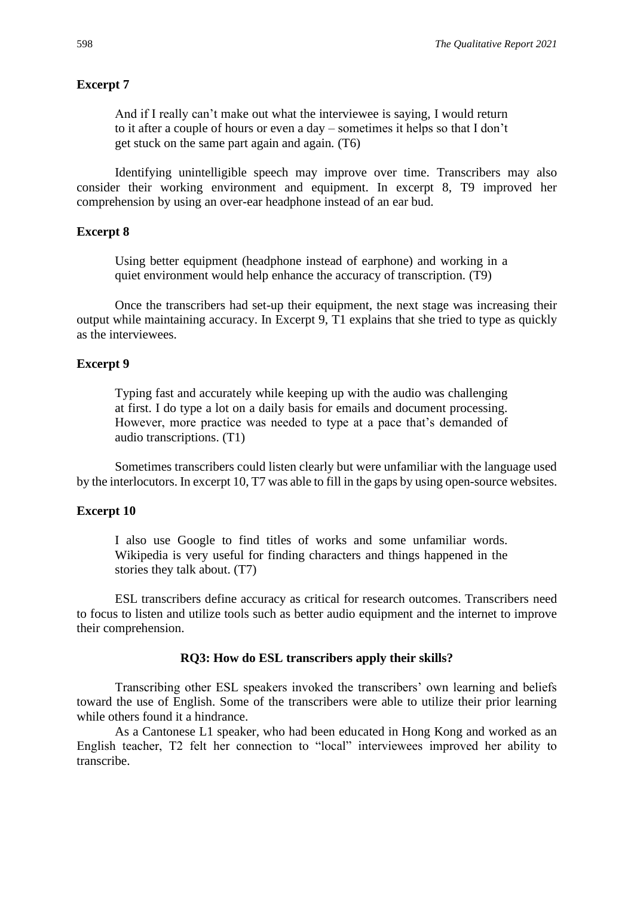#### **Excerpt 7**

And if I really can't make out what the interviewee is saying, I would return to it after a couple of hours or even a day – sometimes it helps so that I don't get stuck on the same part again and again*.* (T6)

Identifying unintelligible speech may improve over time. Transcribers may also consider their working environment and equipment. In excerpt 8, T9 improved her comprehension by using an over-ear headphone instead of an ear bud.

## **Excerpt 8**

Using better equipment (headphone instead of earphone) and working in a quiet environment would help enhance the accuracy of transcription*.* (T9)

Once the transcribers had set-up their equipment, the next stage was increasing their output while maintaining accuracy. In Excerpt 9, T1 explains that she tried to type as quickly as the interviewees.

## **Excerpt 9**

Typing fast and accurately while keeping up with the audio was challenging at first. I do type a lot on a daily basis for emails and document processing. However, more practice was needed to type at a pace that's demanded of audio transcriptions. (T1)

Sometimes transcribers could listen clearly but were unfamiliar with the language used by the interlocutors. In excerpt 10, T7 was able to fill in the gaps by using open-source websites.

#### **Excerpt 10**

I also use Google to find titles of works and some unfamiliar words. Wikipedia is very useful for finding characters and things happened in the stories they talk about. (T7)

ESL transcribers define accuracy as critical for research outcomes. Transcribers need to focus to listen and utilize tools such as better audio equipment and the internet to improve their comprehension.

#### **RQ3: How do ESL transcribers apply their skills?**

Transcribing other ESL speakers invoked the transcribers' own learning and beliefs toward the use of English. Some of the transcribers were able to utilize their prior learning while others found it a hindrance.

As a Cantonese L1 speaker, who had been educated in Hong Kong and worked as an English teacher, T2 felt her connection to "local" interviewees improved her ability to transcribe.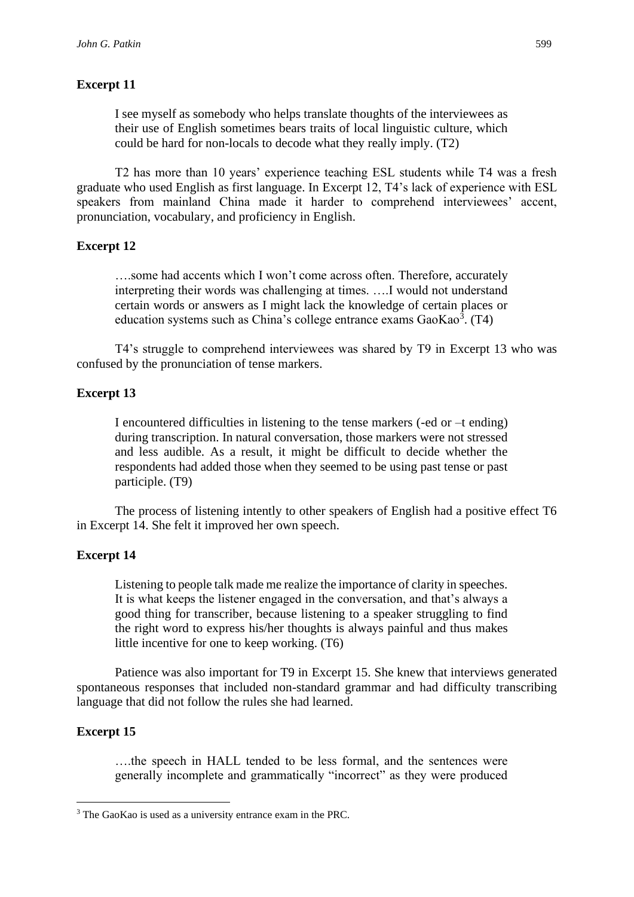## **Excerpt 11**

I see myself as somebody who helps translate thoughts of the interviewees as their use of English sometimes bears traits of local linguistic culture, which could be hard for non-locals to decode what they really imply. (T2)

T2 has more than 10 years' experience teaching ESL students while T4 was a fresh graduate who used English as first language. In Excerpt 12, T4's lack of experience with ESL speakers from mainland China made it harder to comprehend interviewees' accent, pronunciation, vocabulary, and proficiency in English.

## **Excerpt 12**

….some had accents which I won't come across often. Therefore, accurately interpreting their words was challenging at times. ….I would not understand certain words or answers as I might lack the knowledge of certain places or education systems such as China's college entrance exams GaoKao<sup>3</sup>. (T4)

T4's struggle to comprehend interviewees was shared by T9 in Excerpt 13 who was confused by the pronunciation of tense markers.

## **Excerpt 13**

I encountered difficulties in listening to the tense markers (-ed or –t ending) during transcription. In natural conversation, those markers were not stressed and less audible. As a result, it might be difficult to decide whether the respondents had added those when they seemed to be using past tense or past participle. (T9)

The process of listening intently to other speakers of English had a positive effect T6 in Excerpt 14. She felt it improved her own speech.

### **Excerpt 14**

Listening to people talk made me realize the importance of clarity in speeches. It is what keeps the listener engaged in the conversation, and that's always a good thing for transcriber, because listening to a speaker struggling to find the right word to express his/her thoughts is always painful and thus makes little incentive for one to keep working. (T6)

Patience was also important for T9 in Excerpt 15. She knew that interviews generated spontaneous responses that included non-standard grammar and had difficulty transcribing language that did not follow the rules she had learned.

## **Excerpt 15**

….the speech in HALL tended to be less formal, and the sentences were generally incomplete and grammatically "incorrect" as they were produced

<sup>&</sup>lt;sup>3</sup> The GaoKao is used as a university entrance exam in the PRC.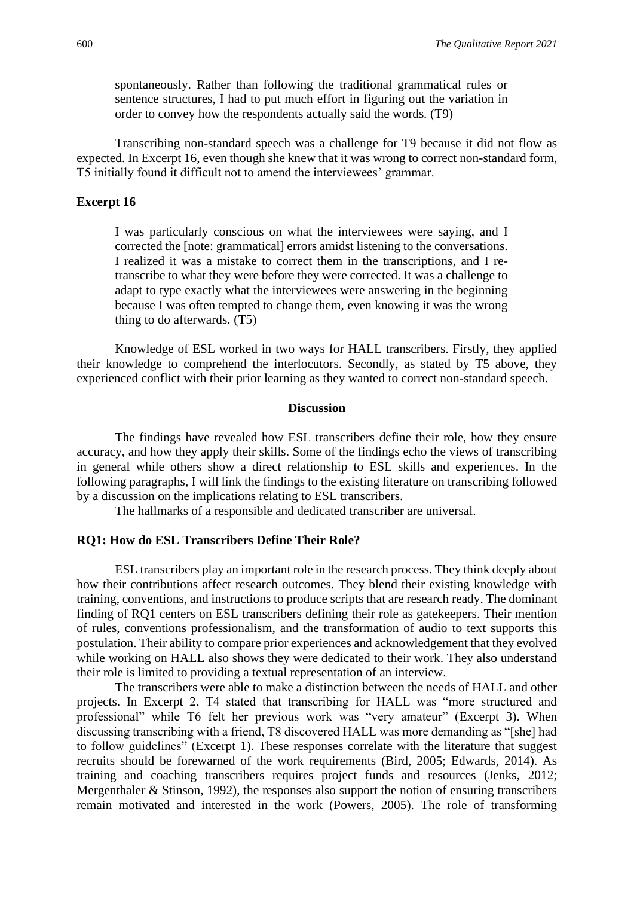spontaneously. Rather than following the traditional grammatical rules or sentence structures, I had to put much effort in figuring out the variation in order to convey how the respondents actually said the words*.* (T9)

Transcribing non-standard speech was a challenge for T9 because it did not flow as expected. In Excerpt 16, even though she knew that it was wrong to correct non-standard form, T5 initially found it difficult not to amend the interviewees' grammar.

## **Excerpt 16**

I was particularly conscious on what the interviewees were saying, and I corrected the [note: grammatical] errors amidst listening to the conversations. I realized it was a mistake to correct them in the transcriptions, and I retranscribe to what they were before they were corrected. It was a challenge to adapt to type exactly what the interviewees were answering in the beginning because I was often tempted to change them, even knowing it was the wrong thing to do afterwards. (T5)

Knowledge of ESL worked in two ways for HALL transcribers. Firstly, they applied their knowledge to comprehend the interlocutors. Secondly, as stated by T5 above, they experienced conflict with their prior learning as they wanted to correct non-standard speech.

#### **Discussion**

The findings have revealed how ESL transcribers define their role, how they ensure accuracy, and how they apply their skills. Some of the findings echo the views of transcribing in general while others show a direct relationship to ESL skills and experiences. In the following paragraphs, I will link the findings to the existing literature on transcribing followed by a discussion on the implications relating to ESL transcribers.

The hallmarks of a responsible and dedicated transcriber are universal.

#### **RQ1: How do ESL Transcribers Define Their Role?**

ESL transcribers play an important role in the research process. They think deeply about how their contributions affect research outcomes. They blend their existing knowledge with training, conventions, and instructions to produce scripts that are research ready. The dominant finding of RQ1 centers on ESL transcribers defining their role as gatekeepers. Their mention of rules, conventions professionalism, and the transformation of audio to text supports this postulation. Their ability to compare prior experiences and acknowledgement that they evolved while working on HALL also shows they were dedicated to their work. They also understand their role is limited to providing a textual representation of an interview.

The transcribers were able to make a distinction between the needs of HALL and other projects. In Excerpt 2, T4 stated that transcribing for HALL was "more structured and professional" while T6 felt her previous work was "very amateur" (Excerpt 3). When discussing transcribing with a friend, T8 discovered HALL was more demanding as "[she] had to follow guidelines" (Excerpt 1). These responses correlate with the literature that suggest recruits should be forewarned of the work requirements (Bird, 2005; Edwards, 2014). As training and coaching transcribers requires project funds and resources (Jenks, 2012; Mergenthaler & Stinson, 1992), the responses also support the notion of ensuring transcribers remain motivated and interested in the work (Powers, 2005). The role of transforming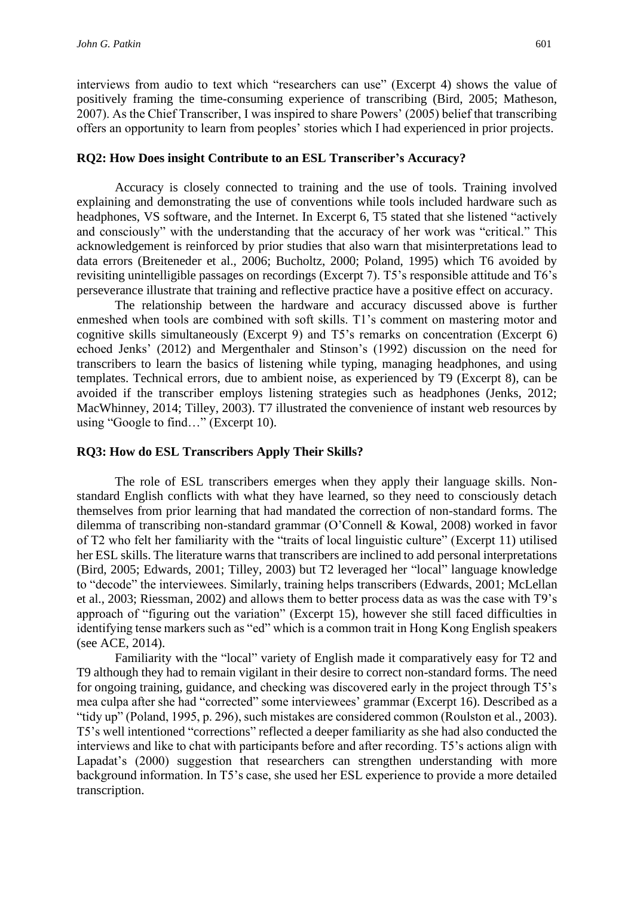interviews from audio to text which "researchers can use" (Excerpt 4) shows the value of positively framing the time-consuming experience of transcribing (Bird, 2005; Matheson, 2007). As the Chief Transcriber, I was inspired to share Powers' (2005) belief that transcribing offers an opportunity to learn from peoples' stories which I had experienced in prior projects.

## **RQ2: How Does insight Contribute to an ESL Transcriber's Accuracy?**

Accuracy is closely connected to training and the use of tools. Training involved explaining and demonstrating the use of conventions while tools included hardware such as headphones, VS software, and the Internet. In Excerpt 6, T5 stated that she listened "actively and consciously" with the understanding that the accuracy of her work was "critical." This acknowledgement is reinforced by prior studies that also warn that misinterpretations lead to data errors (Breiteneder et al., 2006; Bucholtz, 2000; Poland, 1995) which T6 avoided by revisiting unintelligible passages on recordings (Excerpt 7). T5's responsible attitude and T6's perseverance illustrate that training and reflective practice have a positive effect on accuracy.

The relationship between the hardware and accuracy discussed above is further enmeshed when tools are combined with soft skills. T1's comment on mastering motor and cognitive skills simultaneously (Excerpt 9) and T5's remarks on concentration (Excerpt 6) echoed Jenks' (2012) and Mergenthaler and Stinson's (1992) discussion on the need for transcribers to learn the basics of listening while typing, managing headphones, and using templates. Technical errors, due to ambient noise, as experienced by T9 (Excerpt 8), can be avoided if the transcriber employs listening strategies such as headphones (Jenks, 2012; MacWhinney, 2014; Tilley, 2003). T7 illustrated the convenience of instant web resources by using "Google to find…" (Excerpt 10).

#### **RQ3: How do ESL Transcribers Apply Their Skills?**

The role of ESL transcribers emerges when they apply their language skills. Nonstandard English conflicts with what they have learned, so they need to consciously detach themselves from prior learning that had mandated the correction of non-standard forms. The dilemma of transcribing non-standard grammar (O'Connell & Kowal, 2008) worked in favor of T2 who felt her familiarity with the "traits of local linguistic culture" (Excerpt 11) utilised her ESL skills. The literature warns that transcribers are inclined to add personal interpretations (Bird, 2005; Edwards, 2001; Tilley, 2003) but T2 leveraged her "local" language knowledge to "decode" the interviewees. Similarly, training helps transcribers (Edwards, 2001; McLellan et al., 2003; Riessman, 2002) and allows them to better process data as was the case with T9's approach of "figuring out the variation" (Excerpt 15), however she still faced difficulties in identifying tense markers such as "ed" which is a common trait in Hong Kong English speakers (see ACE, 2014).

Familiarity with the "local" variety of English made it comparatively easy for T2 and T9 although they had to remain vigilant in their desire to correct non-standard forms. The need for ongoing training, guidance, and checking was discovered early in the project through T5's mea culpa after she had "corrected" some interviewees' grammar (Excerpt 16). Described as a "tidy up" (Poland, 1995, p. 296), such mistakes are considered common (Roulston et al., 2003). T5's well intentioned "corrections" reflected a deeper familiarity as she had also conducted the interviews and like to chat with participants before and after recording. T5's actions align with Lapadat's (2000) suggestion that researchers can strengthen understanding with more background information. In T5's case, she used her ESL experience to provide a more detailed transcription.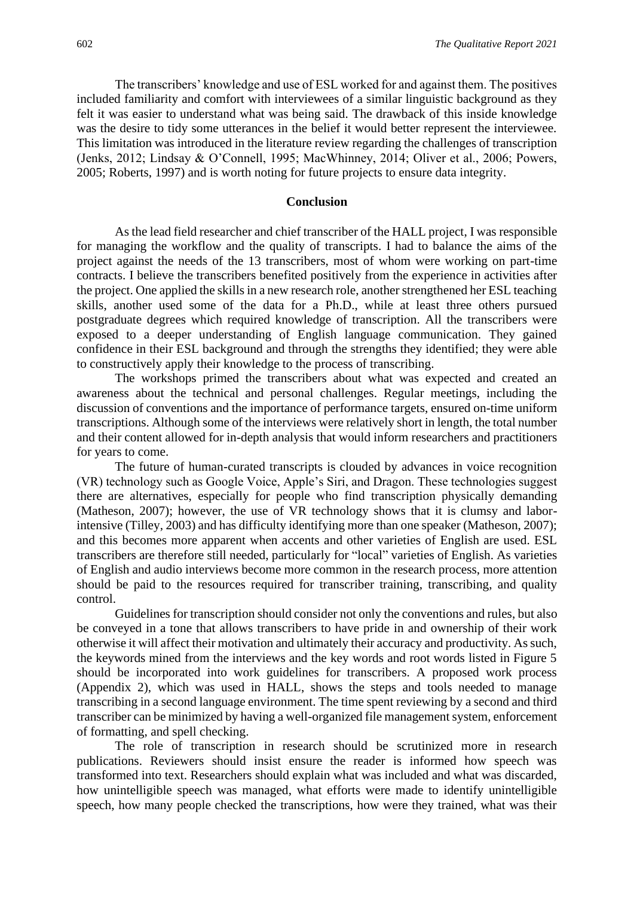The transcribers' knowledge and use of ESL worked for and against them. The positives included familiarity and comfort with interviewees of a similar linguistic background as they felt it was easier to understand what was being said. The drawback of this inside knowledge was the desire to tidy some utterances in the belief it would better represent the interviewee. This limitation was introduced in the literature review regarding the challenges of transcription (Jenks, 2012; Lindsay & O'Connell, 1995; MacWhinney, 2014; Oliver et al., 2006; Powers, 2005; Roberts, 1997) and is worth noting for future projects to ensure data integrity.

#### **Conclusion**

As the lead field researcher and chief transcriber of the HALL project, I was responsible for managing the workflow and the quality of transcripts. I had to balance the aims of the project against the needs of the 13 transcribers, most of whom were working on part-time contracts. I believe the transcribers benefited positively from the experience in activities after the project. One applied the skills in a new research role, another strengthened her ESL teaching skills, another used some of the data for a Ph.D., while at least three others pursued postgraduate degrees which required knowledge of transcription. All the transcribers were exposed to a deeper understanding of English language communication. They gained confidence in their ESL background and through the strengths they identified; they were able to constructively apply their knowledge to the process of transcribing.

The workshops primed the transcribers about what was expected and created an awareness about the technical and personal challenges. Regular meetings, including the discussion of conventions and the importance of performance targets, ensured on-time uniform transcriptions. Although some of the interviews were relatively short in length, the total number and their content allowed for in-depth analysis that would inform researchers and practitioners for years to come.

The future of human-curated transcripts is clouded by advances in voice recognition (VR) technology such as Google Voice, Apple's Siri, and Dragon. These technologies suggest there are alternatives, especially for people who find transcription physically demanding (Matheson, 2007); however, the use of VR technology shows that it is clumsy and laborintensive (Tilley, 2003) and has difficulty identifying more than one speaker (Matheson, 2007); and this becomes more apparent when accents and other varieties of English are used. ESL transcribers are therefore still needed, particularly for "local" varieties of English. As varieties of English and audio interviews become more common in the research process, more attention should be paid to the resources required for transcriber training, transcribing, and quality control.

Guidelines for transcription should consider not only the conventions and rules, but also be conveyed in a tone that allows transcribers to have pride in and ownership of their work otherwise it will affect their motivation and ultimately their accuracy and productivity. As such, the keywords mined from the interviews and the key words and root words listed in Figure 5 should be incorporated into work guidelines for transcribers. A proposed work process (Appendix 2), which was used in HALL, shows the steps and tools needed to manage transcribing in a second language environment. The time spent reviewing by a second and third transcriber can be minimized by having a well-organized file management system, enforcement of formatting, and spell checking.

The role of transcription in research should be scrutinized more in research publications. Reviewers should insist ensure the reader is informed how speech was transformed into text. Researchers should explain what was included and what was discarded, how unintelligible speech was managed, what efforts were made to identify unintelligible speech, how many people checked the transcriptions, how were they trained, what was their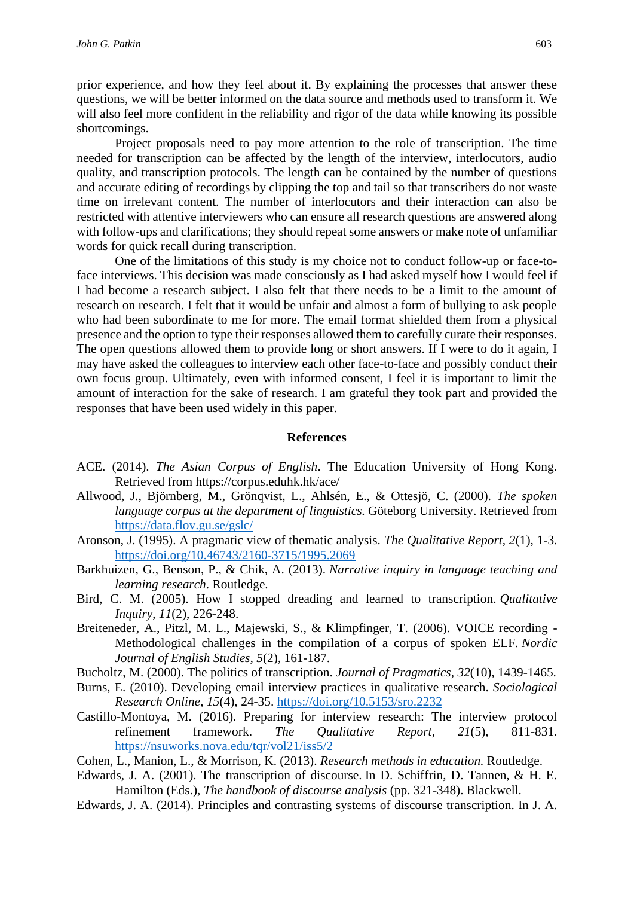prior experience, and how they feel about it. By explaining the processes that answer these questions, we will be better informed on the data source and methods used to transform it. We will also feel more confident in the reliability and rigor of the data while knowing its possible shortcomings.

Project proposals need to pay more attention to the role of transcription. The time needed for transcription can be affected by the length of the interview, interlocutors, audio quality, and transcription protocols. The length can be contained by the number of questions and accurate editing of recordings by clipping the top and tail so that transcribers do not waste time on irrelevant content. The number of interlocutors and their interaction can also be restricted with attentive interviewers who can ensure all research questions are answered along with follow-ups and clarifications; they should repeat some answers or make note of unfamiliar words for quick recall during transcription.

One of the limitations of this study is my choice not to conduct follow-up or face-toface interviews. This decision was made consciously as I had asked myself how I would feel if I had become a research subject. I also felt that there needs to be a limit to the amount of research on research. I felt that it would be unfair and almost a form of bullying to ask people who had been subordinate to me for more. The email format shielded them from a physical presence and the option to type their responses allowed them to carefully curate their responses. The open questions allowed them to provide long or short answers. If I were to do it again, I may have asked the colleagues to interview each other face-to-face and possibly conduct their own focus group. Ultimately, even with informed consent, I feel it is important to limit the amount of interaction for the sake of research. I am grateful they took part and provided the responses that have been used widely in this paper.

#### **References**

- ACE. (2014). *The Asian Corpus of English*. The Education University of Hong Kong. Retrieved from https://corpus.eduhk.hk/ace/
- Allwood, J., Björnberg, M., Grönqvist, L., Ahlsén, E., & Ottesjö, C. (2000). *The spoken language corpus at the department of linguistics.* Göteborg University. Retrieved from <https://data.flov.gu.se/gslc/>
- Aronson, J. (1995). A pragmatic view of thematic analysis. *The Qualitative Report, 2*(1), 1-3. <https://doi.org/10.46743/2160-3715/1995.2069>
- Barkhuizen, G., Benson, P., & Chik, A. (2013). *Narrative inquiry in language teaching and learning research*. Routledge.
- Bird, C. M. (2005). How I stopped dreading and learned to transcription. *Qualitative Inquiry*, *11*(2), 226-248.
- Breiteneder, A., Pitzl, M. L., Majewski, S., & Klimpfinger, T. (2006). VOICE recording Methodological challenges in the compilation of a corpus of spoken ELF. *Nordic Journal of English Studies, 5*(2)*,* 161-187.
- Bucholtz, M. (2000). The politics of transcription. *Journal of Pragmatics*, *32*(10), 1439-1465.
- Burns, E. (2010). Developing email interview practices in qualitative research. *Sociological Research Online*, *15*(4), 24-35. <https://doi.org/10.5153/sro.2232>
- Castillo-Montoya, M. (2016). Preparing for interview research: The interview protocol refinement framework. *The Qualitative Report, 21*(5), 811-831. <https://nsuworks.nova.edu/tqr/vol21/iss5/2>
- Cohen, L., Manion, L., & Morrison, K. (2013). *Research methods in education.* Routledge.
- Edwards, J. A. (2001). The transcription of discourse. In D. Schiffrin, D. Tannen, & H. E. Hamilton (Eds.), *The handbook of discourse analysis* (pp. 321-348). Blackwell.
- Edwards, J. A. (2014). Principles and contrasting systems of discourse transcription. In J. A.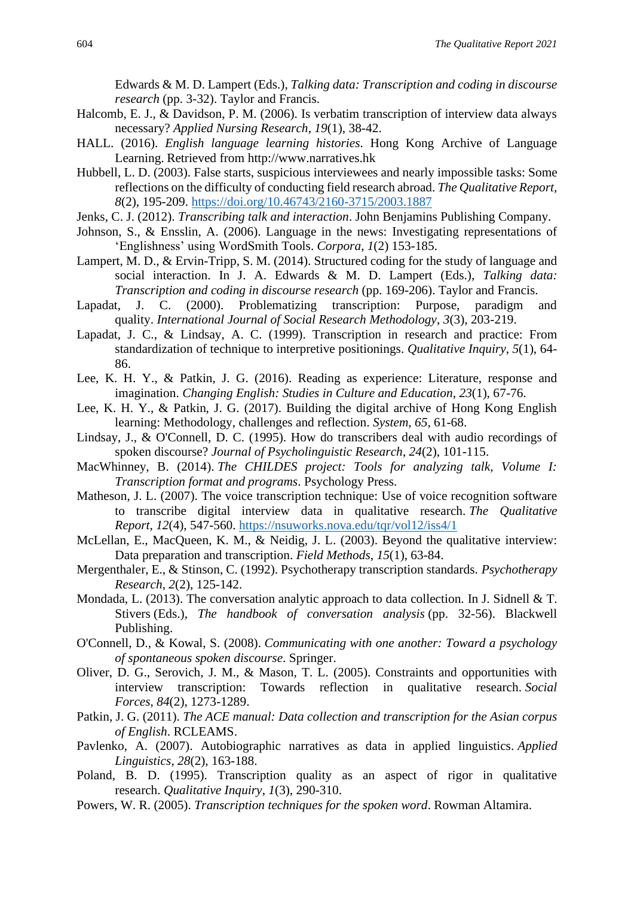Edwards & M. D. Lampert (Eds.), *Talking data: Transcription and coding in discourse research* (pp. 3-32). Taylor and Francis.

- Halcomb, E. J., & Davidson, P. M. (2006). Is verbatim transcription of interview data always necessary? *Applied Nursing Research*, *19*(1), 38-42.
- HALL. (2016). *English language learning histories*. Hong Kong Archive of Language Learning. Retrieved from http://www.narratives.hk
- Hubbell, L. D. (2003). False starts, suspicious interviewees and nearly impossible tasks: Some reflections on the difficulty of conducting field research abroad. *The Qualitative Report, 8*(2), 195-209. <https://doi.org/10.46743/2160-3715/2003.1887>
- Jenks, C. J. (2012). *Transcribing talk and interaction*. John Benjamins Publishing Company.
- Johnson, S., & Ensslin, A. (2006). Language in the news: Investigating representations of 'Englishness' using WordSmith Tools. *Corpora*, *1*(2) 153-185.
- Lampert, M. D., & Ervin-Tripp, S. M. (2014). Structured coding for the study of language and social interaction. In J. A. Edwards & M. D. Lampert (Eds.), *Talking data: Transcription and coding in discourse research* (pp. 169-206). Taylor and Francis.
- Lapadat, J. C. (2000). Problematizing transcription: Purpose, paradigm and quality. *International Journal of Social Research Methodology*, *3*(3), 203-219.
- Lapadat, J. C., & Lindsay, A. C. (1999). Transcription in research and practice: From standardization of technique to interpretive positionings. *Qualitative Inquiry*, *5*(1), 64- 86.
- Lee, K. H. Y., & Patkin, J. G. (2016). Reading as experience: Literature, response and imagination. *Changing English: Studies in Culture and Education*, *23*(1), 67-76.
- Lee, K. H. Y., & Patkin, J. G. (2017). Building the digital archive of Hong Kong English learning: Methodology, challenges and reflection. *System*, *65*, 61-68.
- Lindsay, J., & O'Connell, D. C. (1995). How do transcribers deal with audio recordings of spoken discourse? *Journal of Psycholinguistic Research*, *24*(2), 101-115.
- MacWhinney, B. (2014). *The CHILDES project: Tools for analyzing talk, Volume I: Transcription format and programs*. Psychology Press.
- Matheson, J. L. (2007). The voice transcription technique: Use of voice recognition software to transcribe digital interview data in qualitative research. *The Qualitative Report*, *12*(4), 547-560.<https://nsuworks.nova.edu/tqr/vol12/iss4/1>
- McLellan, E., MacQueen, K. M., & Neidig, J. L. (2003). Beyond the qualitative interview: Data preparation and transcription. *Field Methods*, *15*(1), 63-84.
- Mergenthaler, E., & Stinson, C. (1992). Psychotherapy transcription standards. *Psychotherapy Research*, *2*(2), 125-142.
- Mondada, L. (2013). The conversation analytic approach to data collection. In J. Sidnell & T. Stivers (Eds.), *The handbook of conversation analysis* (pp. 32-56). Blackwell Publishing.
- O'Connell, D., & Kowal, S. (2008). *Communicating with one another: Toward a psychology of spontaneous spoken discourse*. Springer.
- Oliver, D. G., Serovich, J. M., & Mason, T. L. (2005). Constraints and opportunities with interview transcription: Towards reflection in qualitative research. *Social Forces*, *84*(2), 1273-1289.
- Patkin, J. G. (2011). *The ACE manual: Data collection and transcription for the Asian corpus of English*. RCLEAMS.
- Pavlenko, A. (2007). Autobiographic narratives as data in applied linguistics. *Applied Linguistics*, *28*(2), 163-188.
- Poland, B. D. (1995). Transcription quality as an aspect of rigor in qualitative research. *Qualitative Inquiry*, *1*(3), 290-310.
- Powers, W. R. (2005). *Transcription techniques for the spoken word*. Rowman Altamira.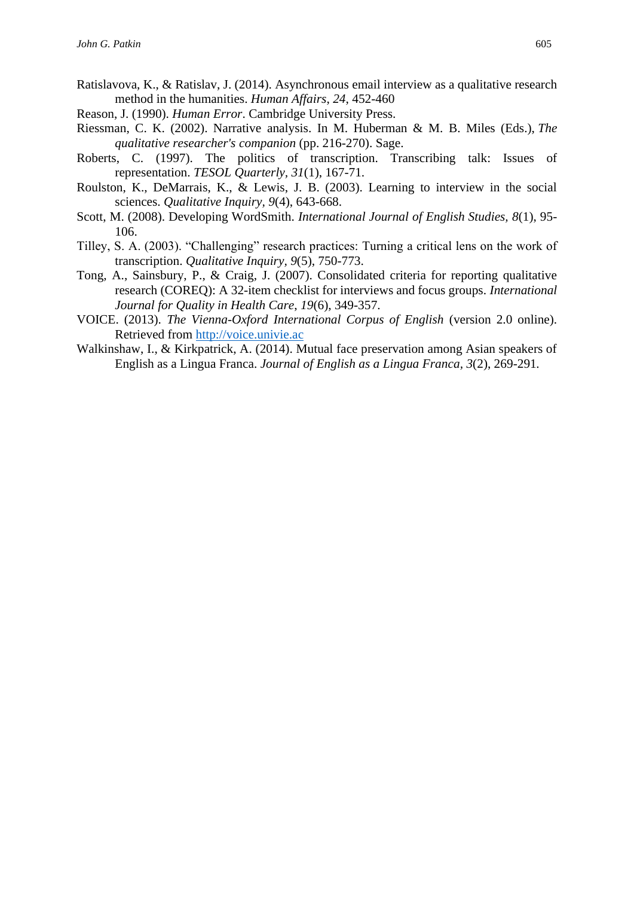- Ratislavova, K., & Ratislav, J. (2014). Asynchronous email interview as a qualitative research method in the humanities. *Human Affairs*, *24*, 452-460
- Reason, J. (1990). *Human Error*. Cambridge University Press.
- Riessman, C. K. (2002). Narrative analysis. In M. Huberman & M. B. Miles (Eds.), *The qualitative researcher's companion* (pp. 216-270). Sage.
- Roberts, C. (1997). The politics of transcription. Transcribing talk: Issues of representation. *TESOL Quarterly, 31*(1), 167-71.
- Roulston, K., DeMarrais, K., & Lewis, J. B. (2003). Learning to interview in the social sciences. *Qualitative Inquiry, 9*(4), 643-668.
- Scott, M. (2008). Developing WordSmith. *International Journal of English Studies, 8*(1), 95- 106.
- Tilley, S. A. (2003). "Challenging" research practices: Turning a critical lens on the work of transcription. *Qualitative Inquiry, 9*(5), 750-773.
- Tong, A., Sainsbury, P., & Craig, J. (2007). Consolidated criteria for reporting qualitative research (COREQ): A 32-item checklist for interviews and focus groups. *International Journal for Quality in Health Care*, *19*(6), 349-357.
- VOICE. (2013). *The Vienna-Oxford International Corpus of English* (version 2.0 online). Retrieved from [http://voice.univie.ac](http://voice.univie.ac/)
- Walkinshaw, I., & Kirkpatrick, A. (2014). Mutual face preservation among Asian speakers of English as a Lingua Franca. *Journal of English as a Lingua Franca, 3*(2), 269-291*.*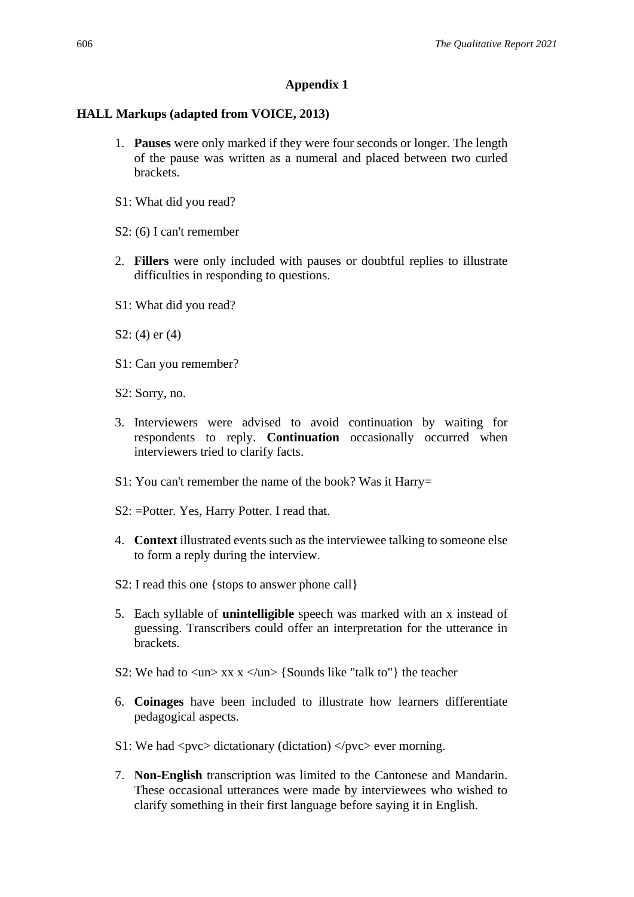## **Appendix 1**

## **HALL Markups (adapted from VOICE, 2013)**

- 1. **Pauses** were only marked if they were four seconds or longer. The length of the pause was written as a numeral and placed between two curled brackets.
- S1: What did you read?
- S2: (6) I can't remember
- 2. **Fillers** were only included with pauses or doubtful replies to illustrate difficulties in responding to questions.
- S1: What did you read?
- S2: (4) er (4)
- S1: Can you remember?
- S2: Sorry, no.
- 3. Interviewers were advised to avoid continuation by waiting for respondents to reply. **Continuation** occasionally occurred when interviewers tried to clarify facts.
- S1: You can't remember the name of the book? Was it Harry=
- S2: =Potter. Yes, Harry Potter. I read that.
- 4. **Context** illustrated events such as the interviewee talking to someone else to form a reply during the interview.
- S2: I read this one {stops to answer phone call}
- 5. Each syllable of **unintelligible** speech was marked with an x instead of guessing. Transcribers could offer an interpretation for the utterance in brackets.
- S2: We had to  $\langle$ un $\rangle$  xx x  $\langle$ /un $\rangle$  {Sounds like "talk to" } the teacher
- 6. **Coinages** have been included to illustrate how learners differentiate pedagogical aspects.
- S1: We had  $\langle pvc \rangle$  dictationary (dictation)  $\langle pvc \rangle$  ever morning.
- 7. **Non-English** transcription was limited to the Cantonese and Mandarin. These occasional utterances were made by interviewees who wished to clarify something in their first language before saying it in English.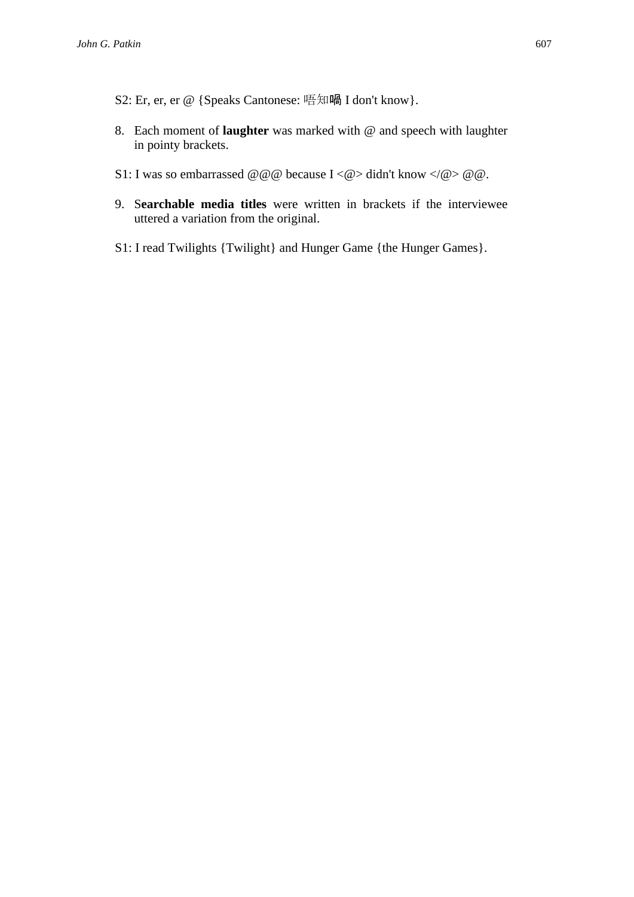S2: Er, er, er @ {Speaks Cantonese: 唔知喎 I don't know}.

- 8. Each moment of **laughter** was marked with @ and speech with laughter in pointy brackets.
- S1: I was so embarrassed @@@ because  $I < \omega >$  didn't know  $< \omega > \omega$ .
- 9. S**earchable media titles** were written in brackets if the interviewee uttered a variation from the original.
- S1: I read Twilights {Twilight} and Hunger Game {the Hunger Games}.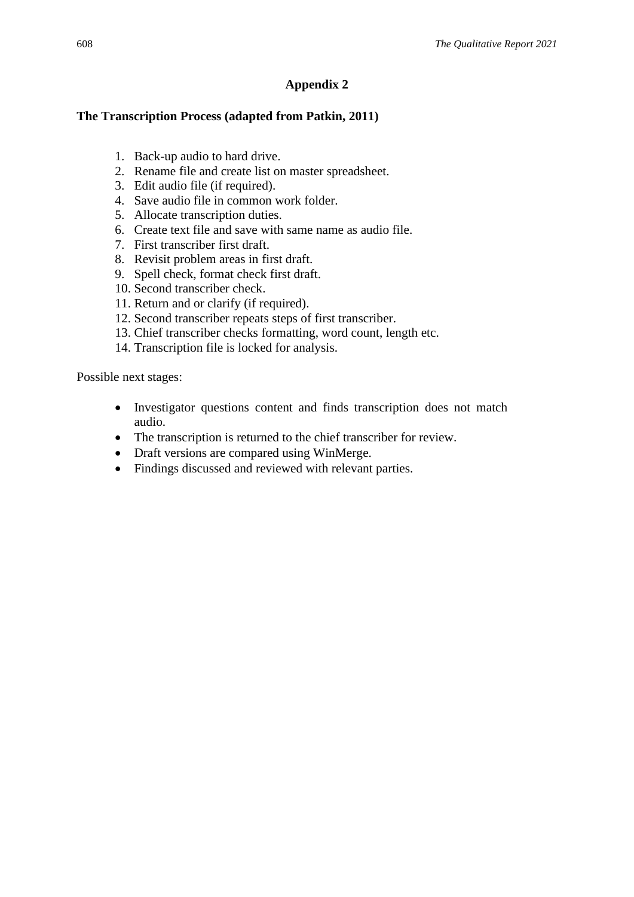# **Appendix 2**

# **The Transcription Process (adapted from Patkin, 2011)**

- 1. Back-up audio to hard drive.
- 2. Rename file and create list on master spreadsheet.
- 3. Edit audio file (if required).
- 4. Save audio file in common work folder.
- 5. Allocate transcription duties.
- 6. Create text file and save with same name as audio file.
- 7. First transcriber first draft.
- 8. Revisit problem areas in first draft.
- 9. Spell check, format check first draft.
- 10. Second transcriber check.
- 11. Return and or clarify (if required).
- 12. Second transcriber repeats steps of first transcriber.
- 13. Chief transcriber checks formatting, word count, length etc.
- 14. Transcription file is locked for analysis.

Possible next stages:

- Investigator questions content and finds transcription does not match audio.
- The transcription is returned to the chief transcriber for review.
- Draft versions are compared using WinMerge.
- Findings discussed and reviewed with relevant parties.